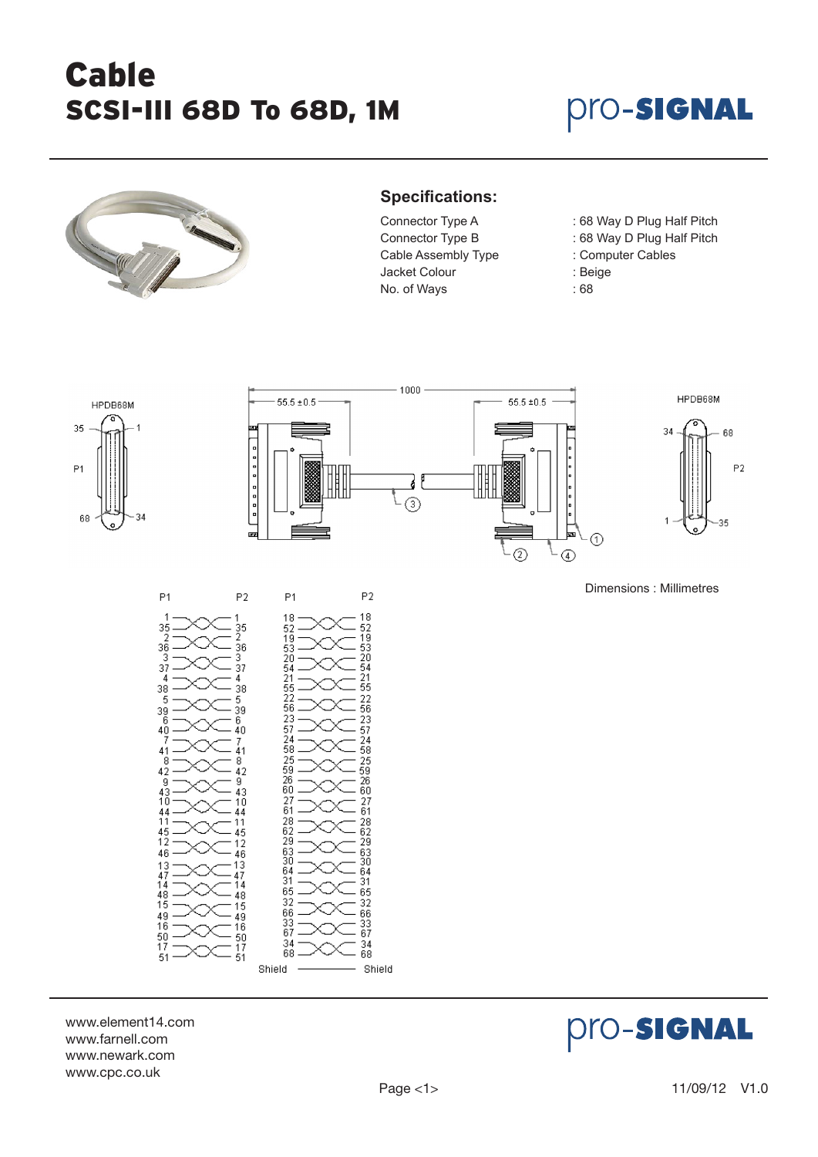# Cable SCSI-III 68D To 68D, 1M

### **Pro-Signal**



#### **Specifications:**

Connector Type B : 68 Way D Plug Half Pitch Cable Assembly Type : Computer Cables Jacket Colour : Beige No. of Ways : 68

- Connector Type A : 68 Way D Plug Half Pitch
	-
	-
	-
	-



www.element14.com www.farnell.com www.newark.com www.cpc.co.uk

Shield



Shield